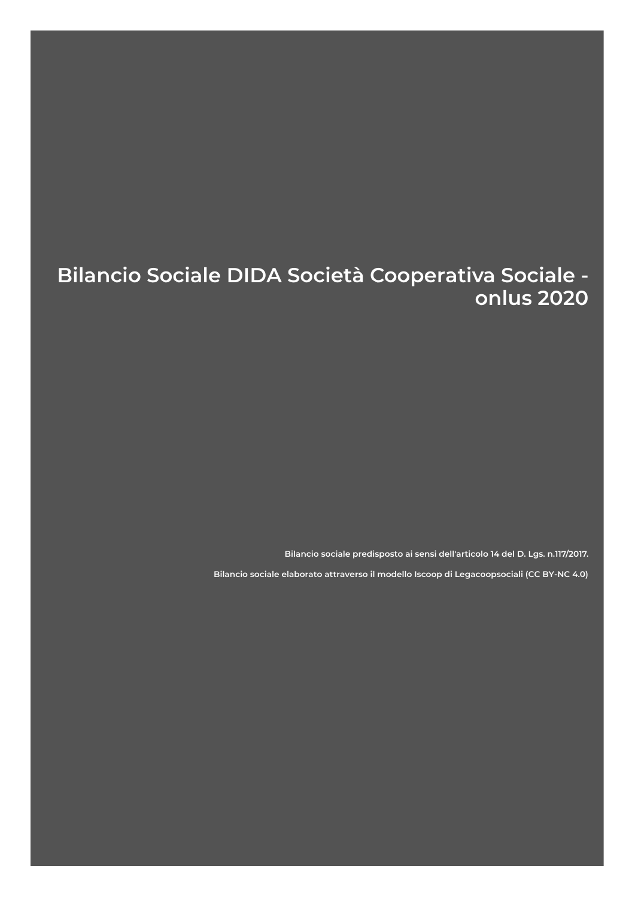# Bilancio Sociale DIDA Società Cooperativa Sociale onlus 2020

Bilancio sociale predisposto ai sensi dell'articolo 14 del D. Lgs. n.117/2017.

Bilancio sociale elaborato attraverso il modello Iscoop di Legacoopsociali (CC BY-NC 4.0)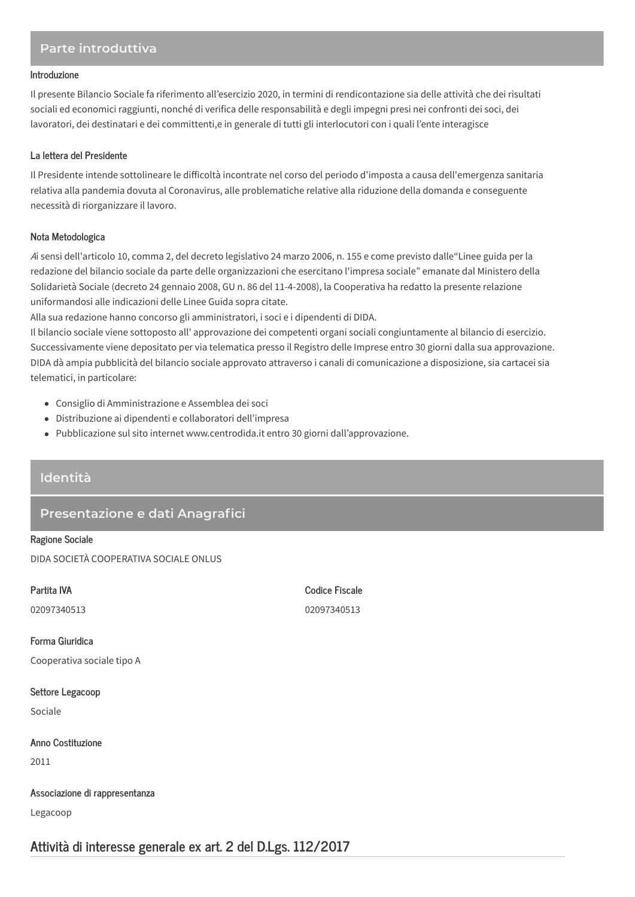# Parte introduttiva

#### Introduzione

Il presente Bilancio Sociale fa riferimento all'esercizio 2020, in termini di rendicontazione sia delle attività che dei risultati sociali ed economici raggiunti, nonché di verifica delle responsabilità e degli impegni presi nei confronti dei soci, dei lavoratori, dei destinatari e dei committenti,e in generale di tutti gli interlocutori con i quali l'ente interagisce

### La lettera del Presidente

Il Presidente intende sottolineare le difficoltà incontrate nel corso del periodo d'imposta a causa dell'emergenza sanitaria relativa alla pandemia dovuta al Coronavirus, alle problematiche relative alla riduzione della domanda e conseguente necessità di riorganizzare il lavoro.

## Nota Metodologica

Ai sensi dell'articolo 10, comma 2, del decreto legislativo 24 marzo 2006, n. 155 e come previsto dalle"Linee guida per la redazione del bilancio sociale da parte delle organizzazioni che esercitano l'impresa sociale" emanate dal Ministero della Solidarietà Sociale (decreto 24 gennaio 2008, GU n. 86 del 11-4-2008), la Cooperativa ha redatto la presente relazione uniformandosi alle indicazioni delle Linee Guida sopra citate.

Alla sua redazione hanno concorso gli amministratori, i soci e i dipendenti di DIDA.

Il bilancio sociale viene sottoposto all'approvazione dei competenti organi sociali congiuntamente al bilancio di esercizio. Successivamente viene depositato per via telematica presso il Registro delle Imprese entro 30 giorni dalla sua approvazione. DIDA dà ampia pubblicità del bilancio sociale approvato attraverso i canali di comunicazione a disposizione, sia cartacei sia telematici, in particolare:

- Consiglio di Amministrazione e Assemblea dei soci
- · Distribuzione ai dipendenti e collaboratori dell'impresa
- Pubblicazione sul sito internet www.centrodida.it entro 30 giorni dall'approvazione.

## Identità

# Presentazione e dati Anagrafici

**Ragione Sociale** DIDA SOCIETÀ COOPERATIVA SOCIALE ONLUS

| Partita IVA                    | <b>Codice Fiscale</b> |
|--------------------------------|-----------------------|
| 02097340513                    | 02097340513           |
|                                |                       |
| Forma Giuridica                |                       |
| Cooperativa sociale tipo A     |                       |
|                                |                       |
| Settore Legacoop               |                       |
| Sociale                        |                       |
|                                |                       |
| Anno Costituzione              |                       |
| 2011                           |                       |
|                                |                       |
| Associazione di rappresentanza |                       |
| Legacoop                       |                       |

# Attività di interesse generale ex art. 2 del D.Lgs. 112/2017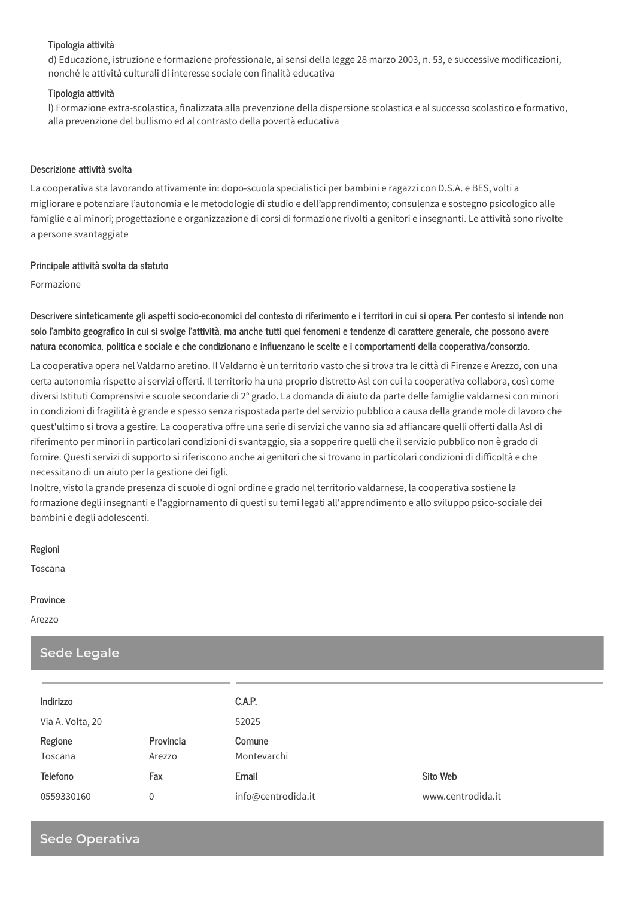### Tipologia attività

d) Educazione, istruzione e formazione professionale, ai sensi della legge 28 marzo 2003, n. 53, e successive modificazioni, nonché le attività culturali di interesse sociale con finalità educativa

#### Tipologia attività

I) Formazione extra-scolastica, finalizzata alla prevenzione della dispersione scolastica e al successo scolastico e formativo, alla prevenzione del bullismo ed al contrasto della povertà educativa

#### Descrizione attività svolta

La cooperativa sta lavorando attivamente in: dopo-scuola specialistici per bambini e ragazzi con D.S.A. e BES, volti a migliorare e potenziare l'autonomia e le metodologie di studio e dell'apprendimento; consulenza e sostegno psicologico alle famiglie e ai minori; progettazione e organizzazione di corsi di formazione rivolti a genitori e insegnanti. Le attività sono rivolte a persone svantaggiate

#### Principale attività svolta da statuto

Formazione

Descrivere sinteticamente gli aspetti socio-economici del contesto di riferimento e i territori in cui si opera. Per contesto si intende non solo l'ambito geografico in cui si svolge l'attività, ma anche tutti quei fenomeni e tendenze di carattere generale, che possono avere natura economica, politica e sociale e che condizionano e influenzano le scelte e i comportamenti della cooperativa/consorzio.

La cooperativa opera nel Valdarno aretino. Il Valdarno è un territorio vasto che si trova tra le città di Firenze e Arezzo, con una certa autonomia rispetto ai servizi offerti. Il territorio ha una proprio distretto Asl con cui la cooperativa collabora, così come diversi Istituti Comprensivi e scuole secondarie di 2° grado. La domanda di aiuto da parte delle famiglie valdarnesi con minori in condizioni di fragilità è grande e spesso senza rispostada parte del servizio pubblico a causa della grande mole di lavoro che quest'ultimo si trova a gestire. La cooperativa offre una serie di servizi che vanno sia ad affiancare quelli offerti dalla Asl di riferimento per minori in particolari condizioni di svantaggio, sia a sopperire quelli che il servizio pubblico non è grado di fornire. Questi servizi di supporto si riferiscono anche ai genitori che si trovano in particolari condizioni di difficoltà e che necessitano di un aiuto per la gestione dei figli.

Inoltre, visto la grande presenza di scuole di ogni ordine e grado nel territorio valdarnese, la cooperativa sostiene la formazione degli insegnanti e l'aggiornamento di questi su temi legati all'apprendimento e allo sviluppo psico-sociale dei bambini e degli adolescenti.

#### Regioni

Toscana

#### Province

Arezzo

| <b>Sede Legale</b> |                     |                       |                   |  |
|--------------------|---------------------|-----------------------|-------------------|--|
|                    |                     |                       |                   |  |
| Indirizzo          |                     | C.A.P.                |                   |  |
| Via A. Volta, 20   |                     | 52025                 |                   |  |
| Regione<br>Toscana | Provincia<br>Arezzo | Comune<br>Montevarchi |                   |  |
| <b>Telefono</b>    | Fax                 | Email                 | Sito Web          |  |
| 0559330160         | 0                   | info@centrodida.it    | www.centrodida.it |  |

# **Sede Operativa**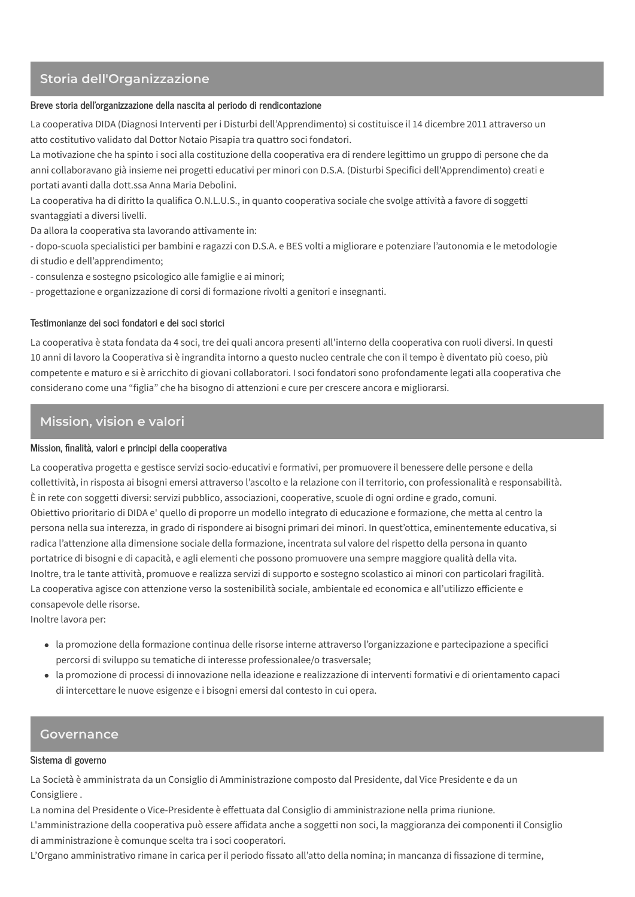# Storia dell'Organizzazione

### Breve storia dell'organizzazione della nascita al periodo di rendicontazione

La cooperativa DIDA (Diagnosi Interventi per i Disturbi dell'Apprendimento) si costituisce il 14 dicembre 2011 attraverso un atto costitutivo validato dal Dottor Notaio Pisapia tra quattro soci fondatori.

La motivazione che ha spinto i soci alla costituzione della cooperativa era di rendere legittimo un gruppo di persone che da anni collaboravano già insieme nei progetti educativi per minori con D.S.A. (Disturbi Specifici dell'Apprendimento) creati e portati avanti dalla dott.ssa Anna Maria Debolini.

La cooperativa ha di diritto la qualifica O.N.L.U.S., in quanto cooperativa sociale che svolge attività a favore di soggetti svantaggiati a diversi livelli.

Da allora la cooperativa sta lavorando attivamente in:

- dopo-scuola specialistici per bambini e ragazzi con D.S.A. e BES volti a migliorare e potenziare l'autonomia e le metodologie di studio e dell'apprendimento;

- consulenza e sostegno psicologico alle famiglie e ai minori;

- progettazione e organizzazione di corsi di formazione rivolti a genitori e insegnanti.

## Testimonianze dei soci fondatori e dei soci storici

La cooperativa è stata fondata da 4 soci, tre dei quali ancora presenti all'interno della cooperativa con ruoli diversi. In questi 10 anni di lavoro la Cooperativa si è ingrandita intorno a questo nucleo centrale che con il tempo è diventato più coeso, più competente e maturo e si è arricchito di giovani collaboratori. I soci fondatori sono profondamente legati alla cooperativa che considerano come una "figlia" che ha bisogno di attenzioni e cure per crescere ancora e migliorarsi.

# Mission, vision e valori

## Mission, finalità, valori e principi della cooperativa

La cooperativa progetta e gestisce servizi socio-educativi e formativi, per promuovere il benessere delle persone e della collettività, in risposta ai bisogni emersi attraverso l'ascolto e la relazione con il territorio, con professionalità e responsabilità. È in rete con soggetti diversi: servizi pubblico, associazioni, cooperative, scuole di ogni ordine e grado, comuni. Obiettivo prioritario di DIDA e' quello di proporre un modello integrato di educazione e formazione, che metta al centro la persona nella sua interezza, in grado di rispondere ai bisogni primari dei minori. In quest'ottica, eminentemente educativa, si radica l'attenzione alla dimensione sociale della formazione, incentrata sul valore del rispetto della persona in quanto portatrice di bisogni e di capacità, e agli elementi che possono promuovere una sempre maggiore qualità della vita. Inoltre, tra le tante attività, promuove e realizza servizi di supporto e sostegno scolastico ai minori con particolari fragilità. La cooperativa agisce con attenzione verso la sostenibilità sociale, ambientale ed economica e all'utilizzo efficiente e consapevole delle risorse.

Inoltre lavora per:

- · la promozione della formazione continua delle risorse interne attraverso l'organizzazione e partecipazione a specifici percorsi di sviluppo su tematiche di interesse professionalee/o trasversale:
- · la promozione di processi di innovazione nella ideazione e realizzazione di interventi formativi e di orientamento capaci di intercettare le nuove esigenze e i bisogni emersi dal contesto in cui opera.

## **Governance**

### Sistema di governo

La Società è amministrata da un Consiglio di Amministrazione composto dal Presidente, dal Vice Presidente e da un Consigliere.

La nomina del Presidente o Vice-Presidente è effettuata dal Consiglio di amministrazione nella prima riunione.

L'amministrazione della cooperativa può essere affidata anche a soggetti non soci, la maggioranza dei componenti il Consiglio di amministrazione è comunque scelta tra i soci cooperatori.

L'Organo amministrativo rimane in carica per il periodo fissato all'atto della nomina; in mancanza di fissazione di termine,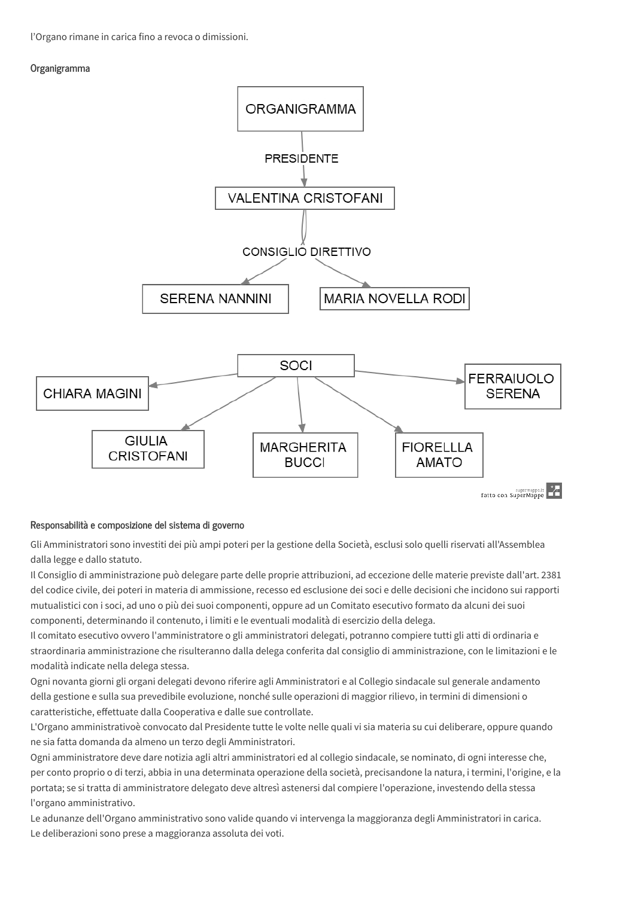l'Organo rimane in carica fino a revoca o dimissioni.

## Organigramma



## Responsabilità e composizione del sistema di governo

Gli Amministratori sono investiti dei più ampi poteri per la gestione della Società, esclusi solo quelli riservati all'Assemblea dalla legge e dallo statuto.

Il Consiglio di amministrazione può delegare parte delle proprie attribuzioni, ad eccezione delle materie previste dall'art. 2381 del codice civile, dei poteri in materia di ammissione, recesso ed esclusione dei soci e delle decisioni che incidono sui rapporti mutualistici con i soci, ad uno o più dei suoi componenti, oppure ad un Comitato esecutivo formato da alcuni dei suoi componenti, determinando il contenuto, i limiti e le eventuali modalità di esercizio della delega.

Il comitato esecutivo ovvero l'amministratore o gli amministratori delegati, potranno compiere tutti gli atti di ordinaria e straordinaria amministrazione che risulteranno dalla delega conferita dal consiglio di amministrazione, con le limitazioni e le modalità indicate nella delega stessa.

Ogni novanta giorni gli organi delegati devono riferire agli Amministratori e al Collegio sindacale sul generale andamento della gestione e sulla sua prevedibile evoluzione, nonché sulle operazioni di maggior rilievo, in termini di dimensioni o caratteristiche, effettuate dalla Cooperativa e dalle sue controllate.

L'Organo amministrativoè convocato dal Presidente tutte le volte nelle quali vi sia materia su cui deliberare, oppure quando ne sia fatta domanda da almeno un terzo degli Amministratori.

Ogni amministratore deve dare notizia agli altri amministratori ed al collegio sindacale, se nominato, di ogni interesse che, per conto proprio o di terzi, abbia in una determinata operazione della società, precisandone la natura, i termini, l'origine, e la portata; se si tratta di amministratore delegato deve altresì astenersi dal compiere l'operazione, investendo della stessa l'organo amministrativo.

Le adunanze dell'Organo amministrativo sono valide quando vi intervenga la maggioranza degli Amministratori in carica. Le deliberazioni sono prese a maggioranza assoluta dei voti.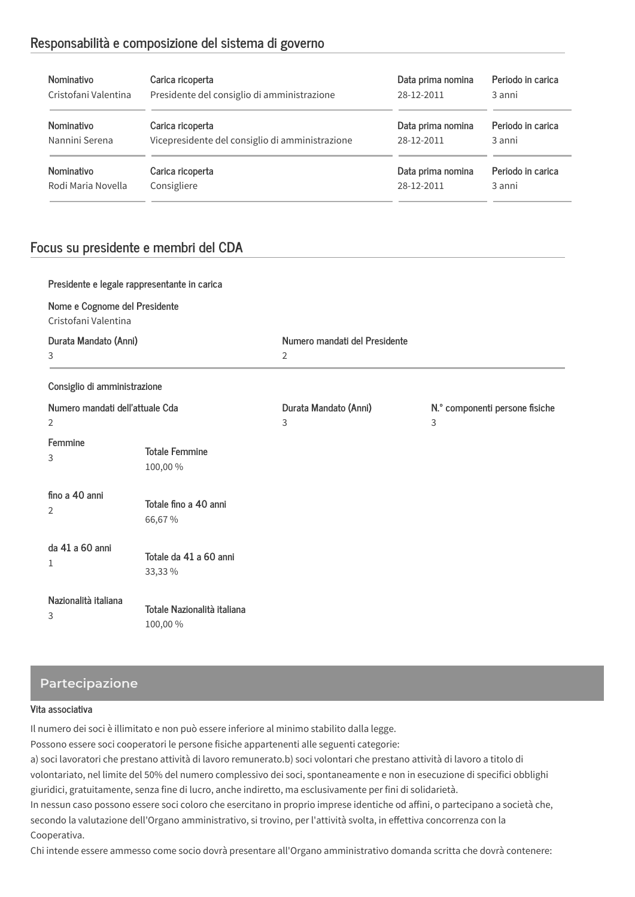# Responsabilità e composizione del sistema di governo

| Nominativo           | Carica ricoperta                                | Data prima nomina | Periodo in carica |
|----------------------|-------------------------------------------------|-------------------|-------------------|
| Cristofani Valentina | Presidente del consiglio di amministrazione     | 28-12-2011        | 3 anni            |
| <b>Nominativo</b>    | Carica ricoperta                                | Data prima nomina | Periodo in carica |
| Nannini Serena       | Vicepresidente del consiglio di amministrazione | 28-12-2011        | 3 anni            |
| <b>Nominativo</b>    | Carica ricoperta                                | Data prima nomina | Periodo in carica |
| Rodi Maria Novella   | Consigliere                                     | 28-12-2011        | 3 anni            |

# Focus su presidente e membri del CDA

| Presidente e legale rappresentante in carica          |                                        |                                                 |                                     |
|-------------------------------------------------------|----------------------------------------|-------------------------------------------------|-------------------------------------|
| Nome e Cognome del Presidente<br>Cristofani Valentina |                                        |                                                 |                                     |
| Durata Mandato (Anni)<br>3                            |                                        | Numero mandati del Presidente<br>$\overline{2}$ |                                     |
| Consiglio di amministrazione                          |                                        |                                                 |                                     |
| Numero mandati dell'attuale Cda<br>2                  |                                        | Durata Mandato (Anni)<br>3                      | N.º componenti persone fisiche<br>3 |
| Femmine<br>3                                          | <b>Totale Femmine</b><br>100,00%       |                                                 |                                     |
| fino a 40 anni<br>2                                   | Totale fino a 40 anni<br>66,67%        |                                                 |                                     |
| da 41 a 60 anni<br>1                                  | Totale da 41 a 60 anni<br>33,33 %      |                                                 |                                     |
| Nazionalità italiana<br>3                             | Totale Nazionalità italiana<br>100,00% |                                                 |                                     |

# **Partecipazione**

## Vita associativa

Il numero dei soci è illimitato e non può essere inferiore al minimo stabilito dalla legge.

Possono essere soci cooperatori le persone fisiche appartenenti alle seguenti categorie:

a) soci lavoratori che prestano attività di lavoro remunerato.b) soci volontari che prestano attività di lavoro a titolo di volontariato, nel limite del 50% del numero complessivo dei soci, spontaneamente e non in esecuzione di specifici obblighi giuridici, gratuitamente, senza fine di lucro, anche indiretto, ma esclusivamente per fini di solidarietà.

In nessun caso possono essere soci coloro che esercitano in proprio imprese identiche od affini, o partecipano a società che, secondo la valutazione dell'Organo amministrativo, si trovino, per l'attività svolta, in effettiva concorrenza con la Cooperativa.

Chi intende essere ammesso come socio dovrà presentare all'Organo amministrativo domanda scritta che dovrà contenere: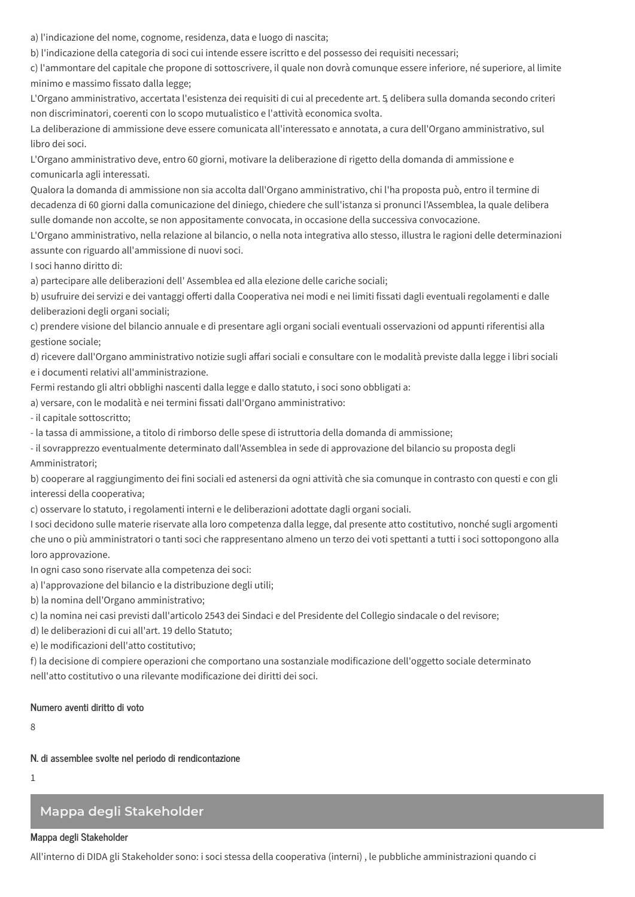a) l'indicazione del nome, cognome, residenza, data e luogo di nascita;

b) l'indicazione della categoria di soci cui intende essere iscritto e del possesso dei requisiti necessari;

c) l'ammontare del capitale che propone di sottoscrivere, il quale non dovrà comunque essere inferiore, né superiore, al limite minimo e massimo fissato dalla legge;

L'Organo amministrativo, accertata l'esistenza dei requisiti di cui al precedente art. 5 delibera sulla domanda secondo criteri non discriminatori, coerenti con lo scopo mutualistico e l'attività economica svolta.

La deliberazione di ammissione deve essere comunicata all'interessato e annotata, a cura dell'Organo amministrativo, sul libro dei soci.

L'Organo amministrativo deve, entro 60 giorni, motivare la deliberazione di rigetto della domanda di ammissione e comunicarla agli interessati.

Qualora la domanda di ammissione non sia accolta dall'Organo amministrativo, chi l'ha proposta può, entro il termine di decadenza di 60 giorni dalla comunicazione del diniego, chiedere che sull'istanza si pronunci l'Assemblea, la quale delibera sulle domande non accolte, se non appositamente convocata, in occasione della successiva convocazione.

L'Organo amministrativo, nella relazione al bilancio, o nella nota integrativa allo stesso, illustra le ragioni delle determinazioni assunte con riguardo all'ammissione di nuovi soci.

I soci hanno diritto di:

a) partecipare alle deliberazioni dell' Assemblea ed alla elezione delle cariche sociali;

b) usufruire dei servizi e dei vantaggi offerti dalla Cooperativa nei modi e nei limiti fissati dagli eventuali regolamenti e dalle deliberazioni degli organi sociali;

c) prendere visione del bilancio annuale e di presentare agli organi sociali eventuali osservazioni od appunti riferentisi alla gestione sociale;

d) ricevere dall'Organo amministrativo notizie sugli affari sociali e consultare con le modalità previste dalla legge i libri sociali e i documenti relativi all'amministrazione.

Fermi restando gli altri obblighi nascenti dalla legge e dallo statuto, i soci sono obbligati a:

a) versare, con le modalità e nei termini fissati dall'Organo amministrativo:

- il capitale sottoscritto;

- la tassa di ammissione, a titolo di rimborso delle spese di istruttoria della domanda di ammissione;

- il sovrapprezzo eventualmente determinato dall'Assemblea in sede di approvazione del bilancio su proposta degli Amministratori:

b) cooperare al raggiungimento dei fini sociali ed astenersi da ogni attività che sia comunque in contrasto con questi e con gli interessi della cooperativa;

c) osservare lo statuto, i regolamenti interni e le deliberazioni adottate dagli organi sociali.

I soci decidono sulle materie riservate alla loro competenza dalla legge, dal presente atto costitutivo, nonché sugli argomenti che uno o più amministratori o tanti soci che rappresentano almeno un terzo dei voti spettanti a tutti i soci sottopongono alla loro approvazione.

In ogni caso sono riservate alla competenza dei soci:

a) l'approvazione del bilancio e la distribuzione degli utili;

b) la nomina dell'Organo amministrativo;

c) la nomina nei casi previsti dall'articolo 2543 dei Sindaci e del Presidente del Collegio sindacale o del revisore;

d) le deliberazioni di cui all'art. 19 dello Statuto;

e) le modificazioni dell'atto costitutivo;

f) la decisione di compiere operazioni che comportano una sostanziale modificazione dell'oggetto sociale determinato nell'atto costitutivo o una rilevante modificazione dei diritti dei soci.

### Numero aventi diritto di voto

 $\mathsf{R}$ 

N. di assemblee svolte nel periodo di rendicontazione

 $\mathbf{1}$ 

# Mappa degli Stakeholder

### Mappa degli Stakeholder

All'interno di DIDA gli Stakeholder sono: i soci stessa della cooperativa (interni), le pubbliche amministrazioni quando ci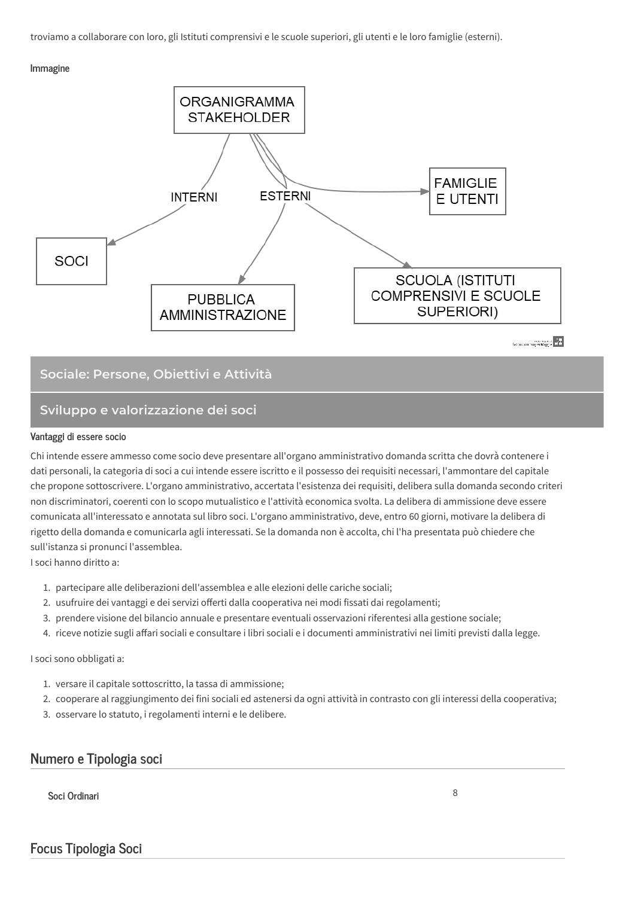troviamo a collaborare con loro, gli Istituti comprensivi e le scuole superiori, gli utenti e le loro famiglie (esterni).

#### Immagine



## Sociale: Persone, Obiettivi e Attività

# Sviluppo e valorizzazione dei soci

#### Vantaggi di essere socio

Chi intende essere ammesso come socio deve presentare all'organo amministrativo domanda scritta che dovrà contenere i dati personali, la categoria di soci a cui intende essere iscritto e il possesso dei requisiti necessari, l'ammontare del capitale che propone sottoscrivere. L'organo amministrativo, accertata l'esistenza dei requisiti, delibera sulla domanda secondo criteri non discriminatori, coerenti con lo scopo mutualistico e l'attività economica svolta. La delibera di ammissione deve essere comunicata all'interessato e annotata sul libro soci. L'organo amministrativo, deve, entro 60 giorni, motivare la delibera di rigetto della domanda e comunicarla agli interessati. Se la domanda non è accolta, chi l'ha presentata può chiedere che sull'istanza si pronunci l'assemblea.

I soci hanno diritto a:

- 1. partecipare alle deliberazioni dell'assemblea e alle elezioni delle cariche sociali;
- 2. usufruire dei vantaggi e dei servizi offerti dalla cooperativa nei modi fissati dai regolamenti;
- 3. prendere visione del bilancio annuale e presentare eventuali osservazioni riferentesi alla gestione sociale;
- 4. riceve notizie sugli affari sociali e consultare i libri sociali e i documenti amministrativi nei limiti previsti dalla legge.

### I soci sono obbligati a:

- 1. versare il capitale sottoscritto, la tassa di ammissione;
- 2. cooperare al raggiungimento dei fini sociali ed astenersi da ogni attività in contrasto con gli interessi della cooperativa;
- 3. osservare lo statuto, i regolamenti interni e le delibere.

# Numero e Tipologia soci

Soci Ordinari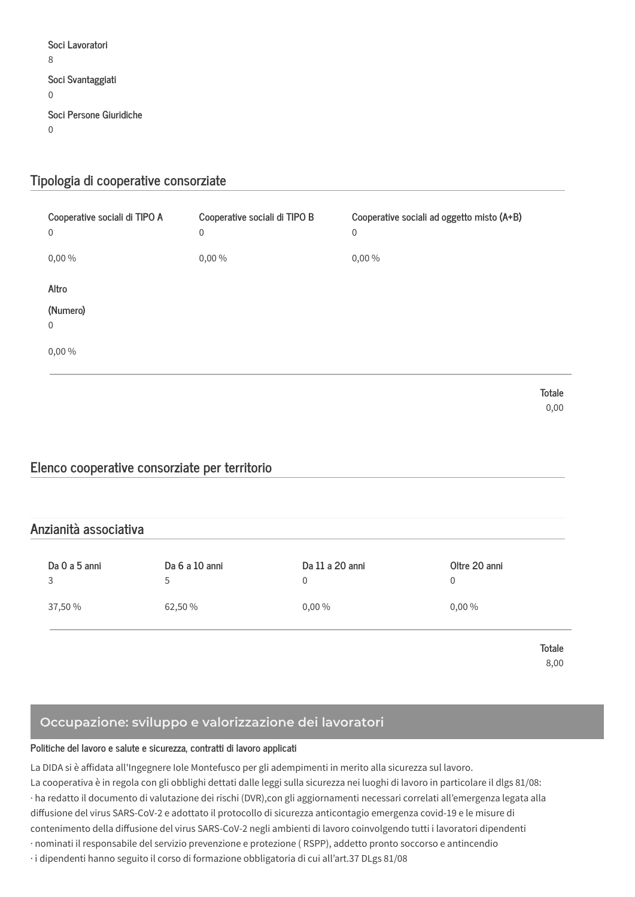Soci Lavoratori  $\overline{8}$ Soci Svantaggiati  $\overline{0}$ Soci Persone Giuridiche  $\Omega$ 

# Tipologia di cooperative consorziate

| Cooperative sociali di TIPO A<br>$\mathbf 0$ | Cooperative sociali di TIPO B<br>$\boldsymbol{0}$ | Cooperative sociali ad oggetto misto (A+B)<br>$\boldsymbol{0}$ |
|----------------------------------------------|---------------------------------------------------|----------------------------------------------------------------|
| 0,00 %                                       | 0,00%                                             | 0,00%                                                          |
| Altro<br>(Numero)                            |                                                   |                                                                |
| 0<br>0,00%                                   |                                                   |                                                                |
|                                              |                                                   | Totale<br>0,00                                                 |

# Elenco cooperative consorziate per territorio

# Anzianità associativa

| Da 0 a 5 anni | Da 6 a 10 anni<br>$\mathbf{r}$ | Da 11 a 20 anni | Oltre 20 anni<br>U |
|---------------|--------------------------------|-----------------|--------------------|
| 37,50 %       | 62,50 %                        | $0,00\%$        | $0,00\%$           |

**Totale** 8.00

# Occupazione: sviluppo e valorizzazione dei lavoratori

### Politiche del lavoro e salute e sicurezza, contratti di lavoro applicati

La DIDA si è affidata all'Ingegnere Iole Montefusco per gli adempimenti in merito alla sicurezza sul lavoro.

La cooperativa è in regola con gli obblighi dettati dalle leggi sulla sicurezza nei luoghi di lavoro in particolare il dlgs 81/08: · ha redatto il documento di valutazione dei rischi (DVR), con gli aggiornamenti necessari correlati all'emergenza legata alla diffusione del virus SARS-CoV-2 e adottato il protocollo di sicurezza anticontagio emergenza covid-19 e le misure di contenimento della diffusione del virus SARS-CoV-2 negli ambienti di lavoro coinvolgendo tutti i lavoratori dipendenti · nominati il responsabile del servizio prevenzione e protezione (RSPP), addetto pronto soccorso e antincendio

· i dipendenti hanno seguito il corso di formazione obbligatoria di cui all'art.37 DLgs 81/08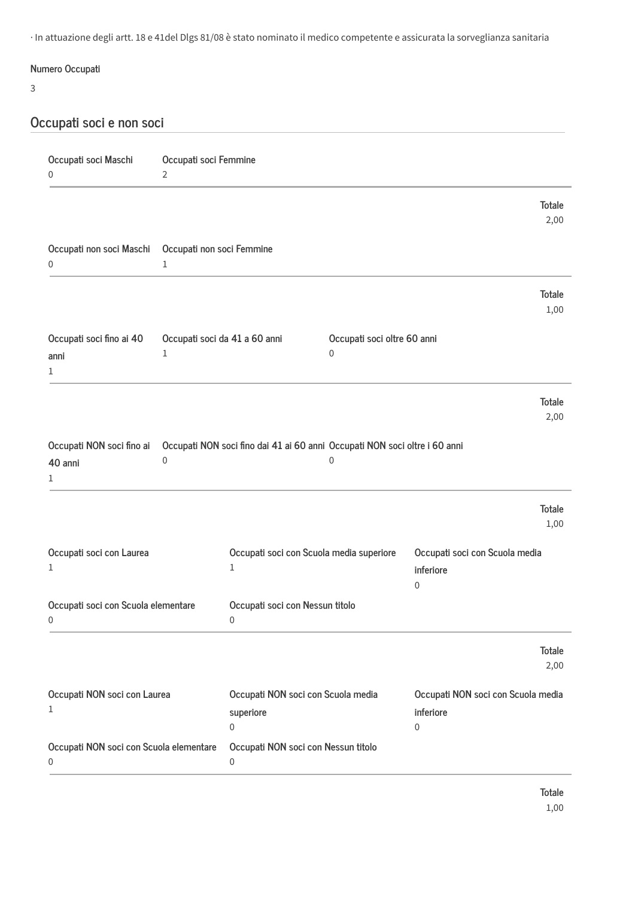· In attuazione degli artt. 18 e 41del Dlgs 81/08 è stato nominato il medico competente e assicurata la sorveglianza sanitaria

# Numero Occupati

## $\overline{3}$

# Occupati soci e non soci

| Occupati soci Maschi<br>0                    | Occupati soci Femmine<br>$\overline{2}$   |                                                                            |                                  |                                                                |                       |
|----------------------------------------------|-------------------------------------------|----------------------------------------------------------------------------|----------------------------------|----------------------------------------------------------------|-----------------------|
|                                              |                                           |                                                                            |                                  |                                                                | <b>Totale</b><br>2,00 |
| Occupati non soci Maschi<br>0                | Occupati non soci Femmine<br>$\mathbf{1}$ |                                                                            |                                  |                                                                |                       |
|                                              |                                           |                                                                            |                                  |                                                                | <b>Totale</b><br>1,00 |
| Occupati soci fino ai 40<br>anni<br>1        | Occupati soci da 41 a 60 anni<br>1        |                                                                            | Occupati soci oltre 60 anni<br>0 |                                                                |                       |
|                                              |                                           |                                                                            |                                  |                                                                | <b>Totale</b><br>2,00 |
| Occupati NON soci fino ai<br>40 anni<br>1    | 0                                         | Occupati NON soci fino dai 41 ai 60 anni Occupati NON soci oltre i 60 anni | 0                                |                                                                |                       |
|                                              |                                           |                                                                            |                                  |                                                                | <b>Totale</b><br>1,00 |
| Occupati soci con Laurea<br>1                |                                           | Occupati soci con Scuola media superiore<br>1                              |                                  | Occupati soci con Scuola media<br>inferiore<br>0               |                       |
| Occupati soci con Scuola elementare<br>0     |                                           | Occupati soci con Nessun titolo<br>0                                       |                                  |                                                                |                       |
|                                              |                                           |                                                                            |                                  |                                                                | <b>Totale</b><br>2,00 |
| Occupati NON soci con Laurea<br>1            |                                           | Occupati NON soci con Scuola media<br>superiore<br>$\,0\,$                 |                                  | Occupati NON soci con Scuola media<br>inferiore<br>$\mathbf 0$ |                       |
| Occupati NON soci con Scuola elementare<br>0 |                                           | Occupati NON soci con Nessun titolo<br>0                                   |                                  |                                                                |                       |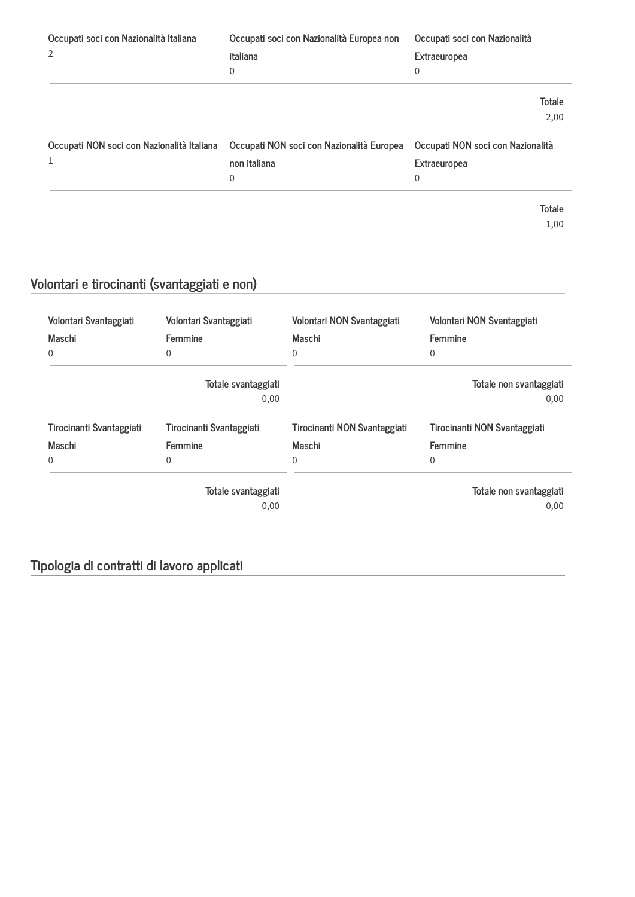| Occupati soci con Nazionalità Italiana     | Occupati soci con Nazionalità Europea non | Occupati soci con Nazionalità     |
|--------------------------------------------|-------------------------------------------|-----------------------------------|
| 2                                          | italiana                                  | Extraeuropea                      |
|                                            | $\mathbf 0$                               | 0                                 |
|                                            |                                           | Totale                            |
|                                            |                                           | 2,00                              |
| Occupati NON soci con Nazionalità Italiana | Occupati NON soci con Nazionalità Europea | Occupati NON soci con Nazionalità |
| $\mathbf{1}$                               | non italiana                              | Extraeuropea                      |
|                                            | $\mathbf 0$                               | 0                                 |
|                                            |                                           | Totale                            |
|                                            |                                           | 1,00                              |

# Volontari e tirocinanti (svantaggiati e non)

| Volontari Svantaggiati<br>Maschi<br>0 | Volontari Svantaggiati<br>Femmine<br>$\Omega$ | Volontari NON Svantaggiati<br>Maschi<br>$\mathbf 0$ | Volontari NON Svantaggiati<br>Femmine<br>0 |
|---------------------------------------|-----------------------------------------------|-----------------------------------------------------|--------------------------------------------|
|                                       | Totale svantaggiati<br>0,00                   |                                                     | Totale non svantaggiati<br>0,00            |
| Tirocinanti Svantaggiati<br>Maschi    | Tirocinanti Svantaggiati<br>Femmine           | Tirocinanti NON Svantaggiati<br>Maschi              | Tirocinanti NON Svantaggiati<br>Femmine    |
| $\Omega$                              | $\Omega$                                      | $\mathbf{0}$                                        | 0                                          |
|                                       | Totale svantaggiati<br>0,00                   |                                                     | Totale non svantaggiati<br>0,00            |

# Tipologia di contratti di lavoro applicati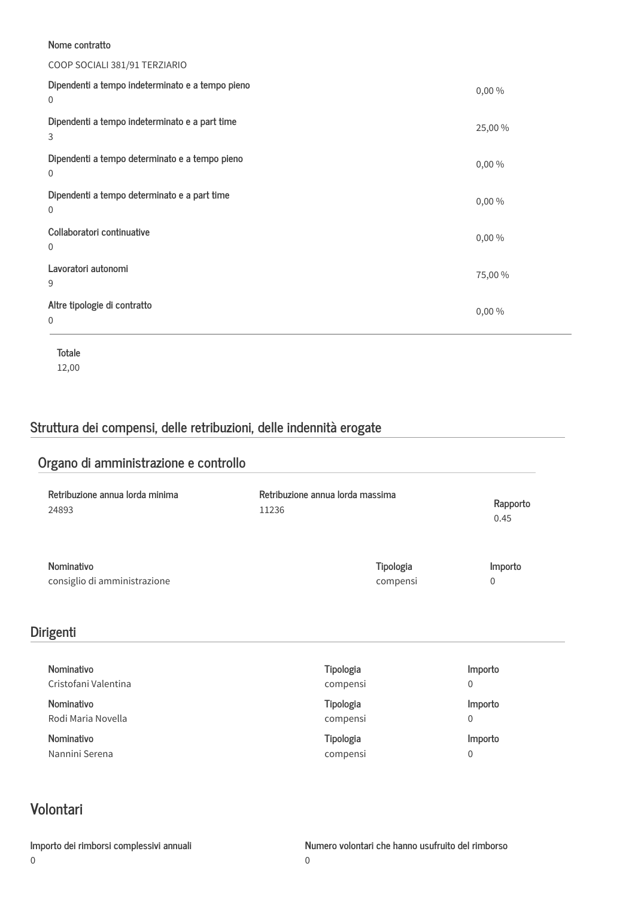### Nome contratto

## COOP SOCIALI 381/91 TERZIARIO

| Dipendenti a tempo indeterminato e a tempo pieno<br>$\mathbf 0$ | 0,00%   |
|-----------------------------------------------------------------|---------|
| Dipendenti a tempo indeterminato e a part time<br>3             | 25,00 % |
| Dipendenti a tempo determinato e a tempo pieno<br>$\mathbf{0}$  | 0,00%   |
| Dipendenti a tempo determinato e a part time<br>$\mathbf 0$     | 0,00%   |
| Collaboratori continuative<br>$\mathbf 0$                       | 0,00%   |
| Lavoratori autonomi<br>9                                        | 75,00 % |
| Altre tipologie di contratto<br>$\mathbf 0$                     | 0,00%   |

Totale 12,00

# Struttura dei compensi, delle retribuzioni, delle indennità erogate

| Organo di amministrazione e controllo |              |
|---------------------------------------|--------------|
| Retribuzione annua lorda massima      | Rapporto     |
| 11236                                 | 0.45         |
| Tipologia                             | Importo      |
| compensi                              | $\Omega$     |
|                                       |              |
| Tipologia                             | Importo      |
| compensi                              | $\mathbf 0$  |
| Tipologia                             | Importo      |
| compensi                              | $\mathbf{0}$ |
| Tipologia                             | Importo      |
| compensi                              | $\mathbf 0$  |
|                                       |              |

# Volontari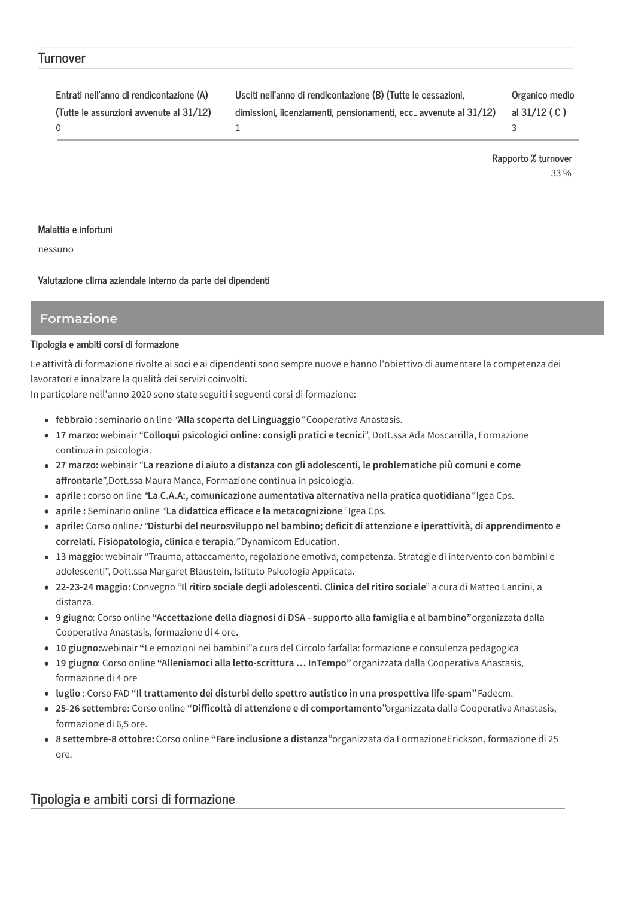## **Turnover**

| Entrati nell'anno di rendicontazione (A) | Usciti nell'anno di rendicontazione (B) (Tutte le cessazioni,     | Organico medio |
|------------------------------------------|-------------------------------------------------------------------|----------------|
| (Tutte le assunzioni avvenute al 31/12)  | dimissioni, licenziamenti, pensionamenti, ecc. avvenute al 31/12) | al 31/12 (C)   |
| - 0                                      |                                                                   |                |

Rapporto % turnover 33 %

### Malattia e infortuni

nessuno

Valutazione clima aziendale interno da parte dei dipendenti

## **Formazione**

### Tipologia e ambiti corsi di formazione

Le attività di formazione rivolte ai soci e ai dipendenti sono sempre nuove e hanno l'obiettivo di aumentare la competenza dei lavoratori e innalzare la qualità dei servizi coinvolti.

In particolare nell'anno 2020 sono state seguiti i seguenti corsi di formazione:

- · febbraio: seminario on line "Alla scoperta del Linguaggio" Cooperativa Anastasis.
- · 17 marzo: webinair "Colloqui psicologici online: consigli pratici e tecnici", Dott.ssa Ada Moscarrilla, Formazione continua in psicologia.
- · 27 marzo: webinair "La reazione di aiuto a distanza con gli adolescenti, le problematiche più comuni e come affrontarle", Dott.ssa Maura Manca, Formazione continua in psicologia.
- · aprile : corso on line "La C.A.A:, comunicazione aumentativa alternativa nella pratica quotidiana" Igea Cps.
- · aprile : Seminario online "La didattica efficace e la metacognizione" Igea Cps.
- · aprile: Corso online: "Disturbi del neurosviluppo nel bambino; deficit di attenzione e iperattività, di apprendimento e correlati. Fisiopatologia, clinica e terapia."Dynamicom Education.
- 13 maggio: webinair "Trauma, attaccamento, regolazione emotiva, competenza. Strategie di intervento con bambini e adolescenti", Dott.ssa Margaret Blaustein, Istituto Psicologia Applicata.
- 22-23-24 maggio: Convegno "Il ritiro sociale degli adolescenti. Clinica del ritiro sociale" a cura di Matteo Lancini, a distanza
- · 9 giugno: Corso online "Accettazione della diagnosi di DSA supporto alla famiglia e al bambino" organizzata dalla Cooperativa Anastasis, formazione di 4 ore.
- 10 giugno: webinair "Le emozioni nei bambini" a cura del Circolo farfalla: formazione e consulenza pedagogica
- · 19 giugno: Corso online "Alleniamoci alla letto-scrittura ... InTempo" organizzata dalla Cooperativa Anastasis, formazione di 4 ore
- luglio : Corso FAD "Il trattamento dei disturbi dello spettro autistico in una prospettiva life-spam" Fadecm.
- 25-26 settembre: Corso online "Difficoltà di attenzione e di comportamento"organizzata dalla Cooperativa Anastasis, formazione di 6,5 ore.
- 8 settembre-8 ottobre: Corso online "Fare inclusione a distanza" organizzata da Formazione Erickson, formazione di 25 ore

# Tipologia e ambiti corsi di formazione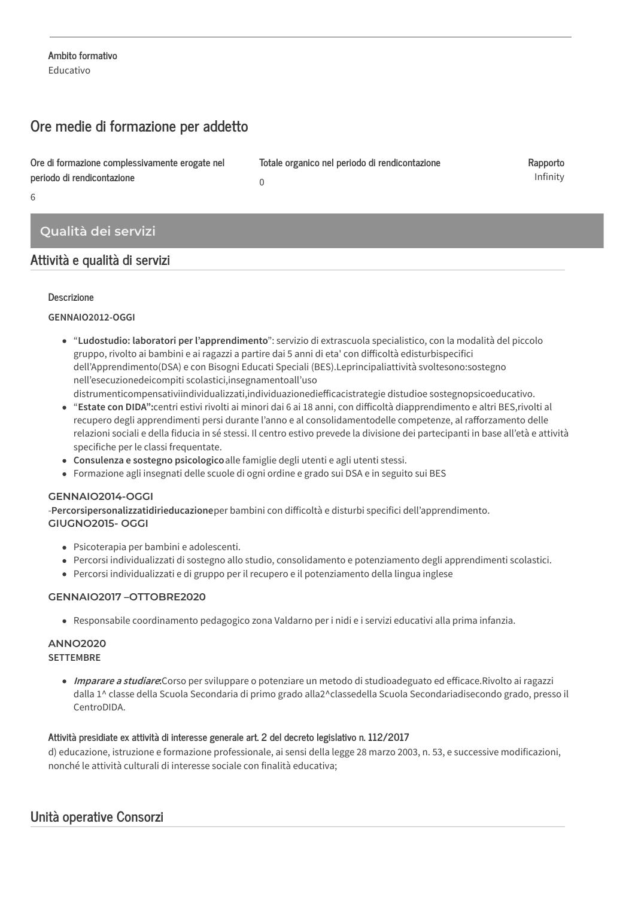# Ore medie di formazione per addetto

Ore di formazione complessivamente erogate nel periodo di rendicontazione

 $6\overline{6}$ 

# Qualità dei servizi

# Attività e qualità di servizi

## **Descrizione**

## GENNAIO2012-OGGI

• "Ludostudio: laboratori per l'apprendimento": servizio di extrascuola specialistico, con la modalità del piccolo gruppo, rivolto ai bambini e ai ragazzi a partire dai 5 anni di eta' con difficoltà edisturbispecifici dell'Apprendimento(DSA) e con Bisogni Educati Speciali (BES).Leprincipaliattività svoltesono:sostegno nell'esecuzionedeicompiti scolastici, insegnamentoall'uso distrumenticompensativiindividualizzati, individuazionediefficacistrategie distudioe sostegnopsicoeducativo.

Totale organico nel periodo di rendicontazione

Rapporto Infinity

- "Estate con DIDA":centri estivi rivolti ai minori dai 6 ai 18 anni, con difficoltà diapprendimento e altri BES, rivolti al recupero degli apprendimenti persi durante l'anno e al consolidamentodelle competenze, al rafforzamento delle relazioni sociali e della fiducia in sé stessi. Il centro estivo prevede la divisione dei partecipanti in base all'età e attività specifiche per le classi frequentate.
- Consulenza e sostegno psicologico alle famiglie degli utenti e agli utenti stessi.
- · Formazione agli insegnati delle scuole di ogni ordine e grado sui DSA e in seguito sui BES

 $\Omega$ 

## GENNAIO2014-OGGI

-Percorsipersonalizzatidirieducazioneper bambini con difficoltà e disturbi specifici dell'apprendimento. GIUGNO2015-OGGI

- · Psicoterapia per bambini e adolescenti.
- · Percorsi individualizzati di sostegno allo studio, consolidamento e potenziamento degli apprendimenti scolastici.
- · Percorsi individualizzati e di gruppo per il recupero e il potenziamento della lingua inglese

## GENNAIO2017-OTTOBRE2020

· Responsabile coordinamento pedagogico zona Valdarno per i nidi e i servizi educativi alla prima infanzia.

### **ANNO2020 SETTEMBRE**

• Imparare a studiare: Corso per sviluppare o potenziare un metodo di studioadeguato ed efficace. Rivolto ai ragazzi dalla 1^ classe della Scuola Secondaria di primo grado alla2^classedella Scuola Secondariadisecondo grado, presso il CentroDIDA

## Attività presidiate ex attività di interesse generale art. 2 del decreto legislativo n. 112/2017

d) educazione, istruzione e formazione professionale, ai sensi della legge 28 marzo 2003, n. 53, e successive modificazioni, nonché le attività culturali di interesse sociale con finalità educativa;

# Unità operative Consorzi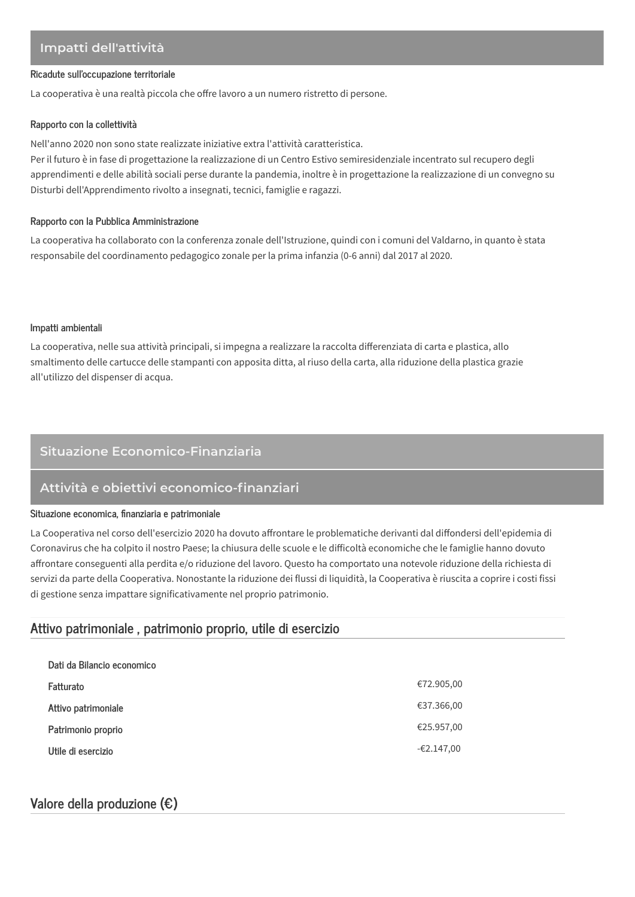# Impatti dell'attività

#### Ricadute sull'occupazione territoriale

La cooperativa è una realtà piccola che offre lavoro a un numero ristretto di persone.

#### Rapporto con la collettività

Nell'anno 2020 non sono state realizzate iniziative extra l'attività caratteristica.

Per il futuro è in fase di progettazione la realizzazione di un Centro Estivo semiresidenziale incentrato sul recupero degli apprendimenti e delle abilità sociali perse durante la pandemia, inoltre è in progettazione la realizzazione di un convegno su Disturbi dell'Apprendimento rivolto a insegnati, tecnici, famiglie e ragazzi.

#### Rapporto con la Pubblica Amministrazione

La cooperativa ha collaborato con la conferenza zonale dell'Istruzione, quindi con i comuni del Valdarno, in quanto è stata responsabile del coordinamento pedagogico zonale per la prima infanzia (0-6 anni) dal 2017 al 2020.

#### Impatti ambientali

La cooperativa, nelle sua attività principali, si impegna a realizzare la raccolta differenziata di carta e plastica, allo smaltimento delle cartucce delle stampanti con apposita ditta, al riuso della carta, alla riduzione della plastica grazie all'utilizzo del dispenser di acqua.

## Situazione Economico-Finanziaria

## Attività e obiettivi economico-finanziari

### Situazione economica, finanziaria e patrimoniale

La Cooperativa nel corso dell'esercizio 2020 ha dovuto affrontare le problematiche derivanti dal diffondersi dell'epidemia di Coronavirus che ha colpito il nostro Paese; la chiusura delle scuole e le difficoltà economiche che le famiglie hanno dovuto affrontare conseguenti alla perdita e/o riduzione del lavoro. Questo ha comportato una notevole riduzione della richiesta di servizi da parte della Cooperativa. Nonostante la riduzione dei flussi di liquidità, la Cooperativa è riuscita a coprire i costi fissi di gestione senza impattare significativamente nel proprio patrimonio.

## Attivo patrimoniale, patrimonio proprio, utile di esercizio

| €72.905,00   |
|--------------|
| €37.366,00   |
| €25.957,00   |
| $-62.147,00$ |
|              |

# Valore della produzione  $(\epsilon)$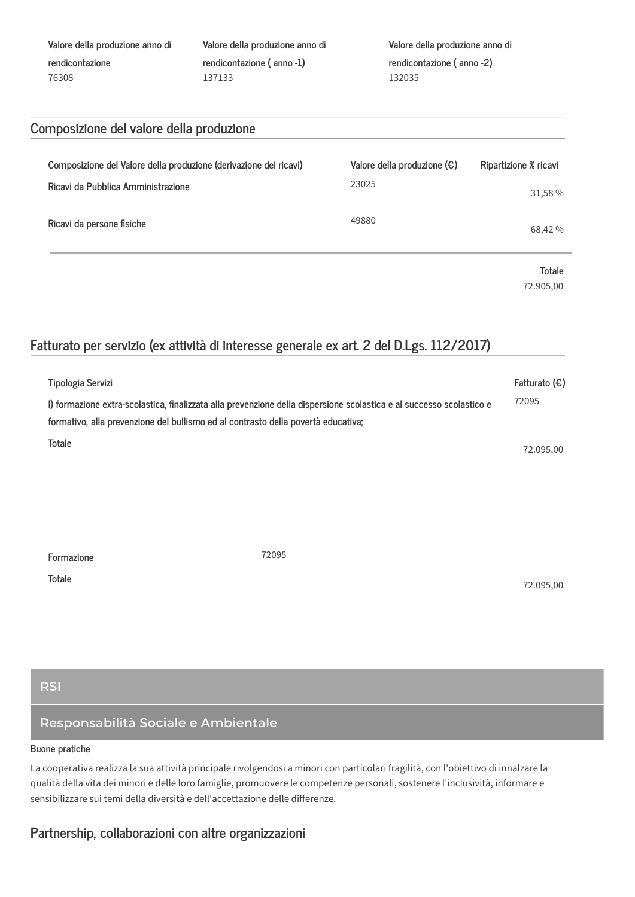| Valore della produzione anno di | Valore della produzione anno di |  |
|---------------------------------|---------------------------------|--|
| rendicontazione                 | rendicontazione (anno -1)       |  |
| 76308                           | 137133                          |  |

Valore della produzione anno di rendicontazione (anno -2) 132035

# Composizione del valore della produzione

| Composizione del Valore della produzione (derivazione dei ricavi)<br>Ricavi da Pubblica Amministrazione | Valore della produzione $(\epsilon)$<br>23025 | Ripartizione % ricavi<br>31,58 % |
|---------------------------------------------------------------------------------------------------------|-----------------------------------------------|----------------------------------|
| Ricavi da persone fisiche                                                                               | 49880                                         | 68,42%                           |
|                                                                                                         |                                               | <b>Totale</b>                    |

72.905,00

# Fatturato per servizio (ex attività di interesse generale ex art. 2 del D.Lgs. 112/2017)

| Tipologia Servizi                                                                 |                                                                                                                      | Fatturato $(\epsilon)$ |
|-----------------------------------------------------------------------------------|----------------------------------------------------------------------------------------------------------------------|------------------------|
| formativo, alla prevenzione del bullismo ed al contrasto della povertà educativa; | I) formazione extra-scolastica, finalizzata alla prevenzione della dispersione scolastica e al successo scolastico e | 72095                  |
| <b>Totale</b>                                                                     |                                                                                                                      | 72.095,00              |
|                                                                                   |                                                                                                                      |                        |
|                                                                                   |                                                                                                                      |                        |
|                                                                                   |                                                                                                                      |                        |
|                                                                                   |                                                                                                                      |                        |
| Formazione                                                                        | 72095                                                                                                                |                        |
| <b>Totale</b>                                                                     |                                                                                                                      | 72.095,00              |
|                                                                                   |                                                                                                                      |                        |

**RSI** 

# Responsabilità Sociale e Ambientale

### Buone pratiche

La cooperativa realizza la sua attività principale rivolgendosi a minori con particolari fragilità, con l'obiettivo di innalzare la qualità della vita dei minori e delle loro famiglie, promuovere le competenze personali, sostenere l'inclusività, informare e sensibilizzare sui temi della diversità e dell'accettazione delle differenze.

# Partnership, collaborazioni con altre organizzazioni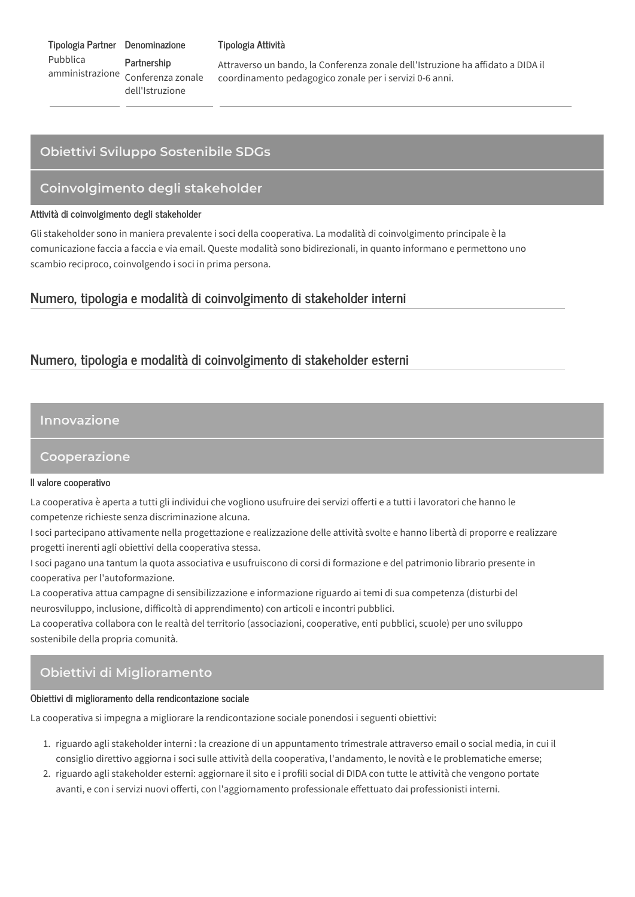Tipologia Partner Denominazione Pubblica Partnership amministrazione Conferenza zonale dell'Istruzione

#### Tipologia Attività

Attraverso un bando, la Conferenza zonale dell'Istruzione ha affidato a DIDA il coordinamento pedagogico zonale per i servizi 0-6 anni.

# Obiettivi Sviluppo Sostenibile SDGs

## Coinvolgimento degli stakeholder

### Attività di coinvolgimento degli stakeholder

Gli stakeholder sono in maniera prevalente i soci della cooperativa. La modalità di coinvolgimento principale è la comunicazione faccia a faccia e via email. Queste modalità sono bidirezionali, in quanto informano e permettono uno scambio reciproco, coinvolgendo i soci in prima persona.

## Numero, tipologia e modalità di coinvolgimento di stakeholder interni

# Numero, tipologia e modalità di coinvolgimento di stakeholder esterni

## Innovazione

## Cooperazione

#### Il valore cooperativo

La cooperativa è aperta a tutti gli individui che vogliono usufruire dei servizi offerti e a tutti i lavoratori che hanno le competenze richieste senza discriminazione alcuna.

I soci partecipano attivamente nella progettazione e realizzazione delle attività svolte e hanno libertà di proporre e realizzare progetti inerenti agli obiettivi della cooperativa stessa.

I soci pagano una tantum la quota associativa e usufruiscono di corsi di formazione e del patrimonio librario presente in cooperativa per l'autoformazione.

La cooperativa attua campagne di sensibilizzazione e informazione riguardo ai temi di sua competenza (disturbi del neurosviluppo, inclusione, difficoltà di apprendimento) con articoli e incontri pubblici.

La cooperativa collabora con le realtà del territorio (associazioni, cooperative, enti pubblici, scuole) per uno sviluppo sostenibile della propria comunità.

# Obiettivi di Miglioramento

#### Obiettivi di miglioramento della rendicontazione sociale

La cooperativa si impegna a migliorare la rendicontazione sociale ponendosi i seguenti obiettivi:

- 1. riguardo agli stakeholder interni : la creazione di un appuntamento trimestrale attraverso email o social media, in cui il consiglio direttivo aggiorna i soci sulle attività della cooperativa, l'andamento, le novità e le problematiche emerse;
- 2. riguardo agli stakeholder esterni: aggiornare il sito e i profili social di DIDA con tutte le attività che vengono portate avanti, e con i servizi nuovi offerti, con l'aggiornamento professionale effettuato dai professionisti interni,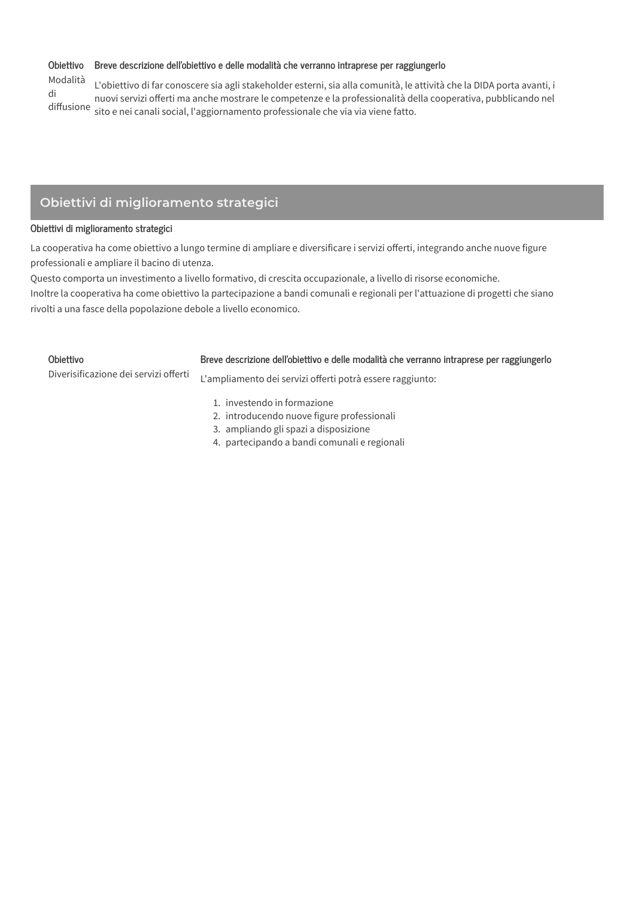## Obiettivo Breve descrizione dell'obiettivo e delle modalità che verranno intraprese per raggiungerlo

Modalità L'obiettivo di far conoscere sia agli stakeholder esterni, sia alla comunità, le attività che la DIDA porta avanti, i di di<br>nuovi servizi offerti ma anche mostrare le competenze e la professionalità della cooperativa, pubblicando nel<br>diffusione sito e nei canali social, l'aggiornamento professionale che via via viene fatto.

# Obiettivi di miglioramento strategici

### Obiettivi di miglioramento strategici

La cooperativa ha come obiettivo a lungo termine di ampliare e diversificare i servizi offerti, integrando anche nuove figure professionali e ampliare il bacino di utenza.

Questo comporta un investimento a livello formativo, di crescita occupazionale, a livello di risorse economiche.

Inoltre la cooperativa ha come obiettivo la partecipazione a bandi comunali e regionali per l'attuazione di progetti che siano rivolti a una fasce della popolazione debole a livello economico.

| Obiettivo                             | Breve descrizione dell'obiettivo e delle modalità che verranno intraprese per raggiungerlo                         |
|---------------------------------------|--------------------------------------------------------------------------------------------------------------------|
| Diverisificazione dei servizi offerti | L'ampliamento dei servizi offerti potrà essere raggiunto:                                                          |
|                                       | 1. investendo in formazione<br>2. introducendo nuove figure professionali<br>3. ampliando gli spazi a disposizione |

4. partecipando a bandi comunali e regionali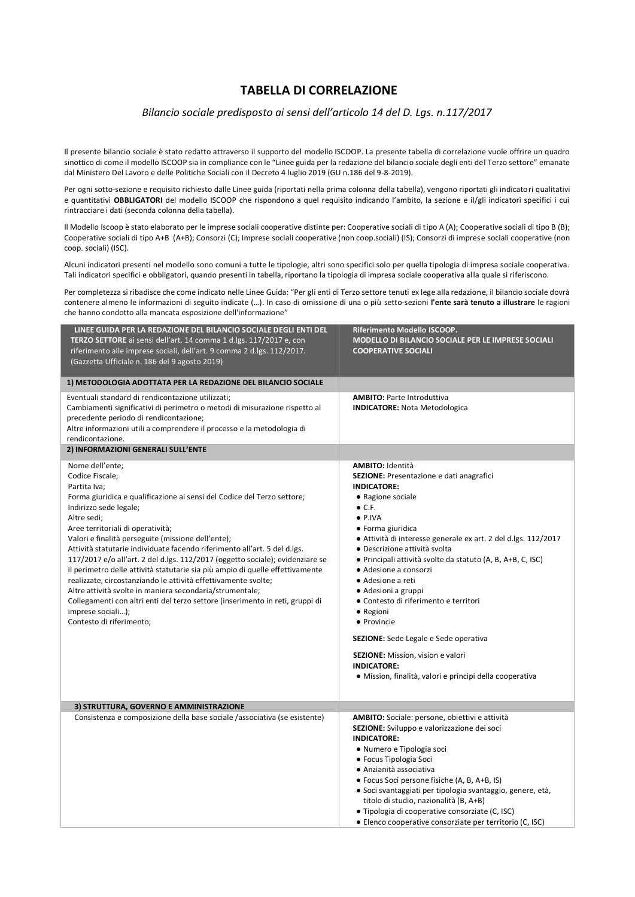## **TABELLA DI CORRELAZIONE**

#### *Bilancio sociale predisposto ai sensi dell'articolo 14 del D. Lgs. n.117/2017*

Il presente bilancio sociale è stato redatto attraverso il supporto del modello ISCOOP. La presente tabella di correlazione vuole offrire un quadro sinottico di come il modello ISCOOP sia in compliance con le "Linee guida per la redazione del bilancio sociale degli enti del Terzo settore" emanate dal Ministero Del Lavoro e delle Politiche Sociali con il Decreto 4 luglio 2019 (GU n.186 del 9-8-2019).

Per ogni sotto-sezione e requisito richiesto dalle Linee guida (riportati nella prima colonna della tabella), vengono riportati gli indicatori qualitativi e quantitativi **OBBLIGATORI** del modello ISCOOP che rispondono a quel requisito indicando l'ambito, la sezione e il/gli indicatori specifici i cui rintracciare i dati (seconda colonna della tabella).

Il Modello Iscoop è stato elaborato per le imprese sociali cooperative distinte per: Cooperative sociali di tipo A (A); Cooperative sociali di tipo B (B); Cooperative sociali di tipo A+B (A+B); Consorzi (C); Imprese sociali cooperative (non coop.sociali) (IS); Consorzi di imprese sociali cooperative (non coop. sociali) (ISC).

Alcuni indicatori presenti nel modello sono comuni a tutte le tipologie, altri sono specifici solo per quella tipologia di impresa sociale cooperativa. Tali indicatori specifici e obbligatori, quando presenti in tabella, riportano la tipologia di impresa sociale cooperativa alla quale si riferiscono.

Per completezza si ribadisce che come indicato nelle Linee Guida: "Per gli enti di Terzo settore tenuti ex lege alla redazione, il bilancio sociale dovrà contenere almeno le informazioni di seguito indicate (…). In caso di omissione di una o più setto-sezioni **l'ente sarà tenuto a illustrare** le ragioni che hanno condotto alla mancata esposizione dell'informazione"

| LINEE GUIDA PER LA REDAZIONE DEL BILANCIO SOCIALE DEGLI ENTI DEL<br>TERZO SETTORE ai sensi dell'art. 14 comma 1 d.lgs. 117/2017 e, con<br>riferimento alle imprese sociali, dell'art. 9 comma 2 d.lgs. 112/2017.<br>(Gazzetta Ufficiale n. 186 del 9 agosto 2019)                                                                                                                                                                                                                                                                                                                                                                                                                                                                                             | Riferimento Modello ISCOOP.<br>MODELLO DI BILANCIO SOCIALE PER LE IMPRESE SOCIALI<br><b>COOPERATIVE SOCIALI</b>                                                                                                                                                                                                                                                                                                                                                                                                                                                                                                                         |
|---------------------------------------------------------------------------------------------------------------------------------------------------------------------------------------------------------------------------------------------------------------------------------------------------------------------------------------------------------------------------------------------------------------------------------------------------------------------------------------------------------------------------------------------------------------------------------------------------------------------------------------------------------------------------------------------------------------------------------------------------------------|-----------------------------------------------------------------------------------------------------------------------------------------------------------------------------------------------------------------------------------------------------------------------------------------------------------------------------------------------------------------------------------------------------------------------------------------------------------------------------------------------------------------------------------------------------------------------------------------------------------------------------------------|
| 1) METODOLOGIA ADOTTATA PER LA REDAZIONE DEL BILANCIO SOCIALE                                                                                                                                                                                                                                                                                                                                                                                                                                                                                                                                                                                                                                                                                                 |                                                                                                                                                                                                                                                                                                                                                                                                                                                                                                                                                                                                                                         |
| Eventuali standard di rendicontazione utilizzati;<br>Cambiamenti significativi di perimetro o metodi di misurazione rispetto al<br>precedente periodo di rendicontazione;<br>Altre informazioni utili a comprendere il processo e la metodologia di<br>rendicontazione.<br>2) INFORMAZIONI GENERALI SULL'ENTE                                                                                                                                                                                                                                                                                                                                                                                                                                                 | <b>AMBITO: Parte Introduttiva</b><br><b>INDICATORE:</b> Nota Metodologica                                                                                                                                                                                                                                                                                                                                                                                                                                                                                                                                                               |
| Nome dell'ente;                                                                                                                                                                                                                                                                                                                                                                                                                                                                                                                                                                                                                                                                                                                                               | <b>AMBITO:</b> Identità                                                                                                                                                                                                                                                                                                                                                                                                                                                                                                                                                                                                                 |
| Codice Fiscale;<br>Partita Iva:<br>Forma giuridica e qualificazione ai sensi del Codice del Terzo settore;<br>Indirizzo sede legale;<br>Altre sedi;<br>Aree territoriali di operatività;<br>Valori e finalità perseguite (missione dell'ente);<br>Attività statutarie individuate facendo riferimento all'art. 5 del d.lgs.<br>117/2017 e/o all'art. 2 del d.lgs. 112/2017 (oggetto sociale); evidenziare se<br>il perimetro delle attività statutarie sia più ampio di quelle effettivamente<br>realizzate, circostanziando le attività effettivamente svolte;<br>Altre attività svolte in maniera secondaria/strumentale;<br>Collegamenti con altri enti del terzo settore (inserimento in reti, gruppi di<br>imprese sociali);<br>Contesto di riferimento; | SEZIONE: Presentazione e dati anagrafici<br><b>INDICATORE:</b><br>• Ragione sociale<br>$\bullet$ C.F.<br>$\bullet$ P.IVA<br>• Forma giuridica<br>• Attività di interesse generale ex art. 2 del d.lgs. 112/2017<br>• Descrizione attività svolta<br>• Principali attività svolte da statuto (A, B, A+B, C, ISC)<br>• Adesione a consorzi<br>• Adesione a reti<br>• Adesioni a gruppi<br>• Contesto di riferimento e territori<br>• Regioni<br>• Provincie<br><b>SEZIONE:</b> Sede Legale e Sede operativa<br><b>SEZIONE:</b> Mission, vision e valori<br><b>INDICATORE:</b><br>· Mission, finalità, valori e principi della cooperativa |
| 3) STRUTTURA, GOVERNO E AMMINISTRAZIONE                                                                                                                                                                                                                                                                                                                                                                                                                                                                                                                                                                                                                                                                                                                       |                                                                                                                                                                                                                                                                                                                                                                                                                                                                                                                                                                                                                                         |
| Consistenza e composizione della base sociale /associativa (se esistente)                                                                                                                                                                                                                                                                                                                                                                                                                                                                                                                                                                                                                                                                                     | <b>AMBITO:</b> Sociale: persone, obiettivi e attività<br>SEZIONE: Sviluppo e valorizzazione dei soci<br><b>INDICATORE:</b><br>• Numero e Tipologia soci<br>• Focus Tipologia Soci<br>· Anzianità associativa<br>• Focus Soci persone fisiche (A, B, A+B, IS)<br>· Soci svantaggiati per tipologia svantaggio, genere, età,<br>titolo di studio, nazionalità (B, A+B)<br>• Tipologia di cooperative consorziate (C, ISC)<br>• Elenco cooperative consorziate per territorio (C, ISC)                                                                                                                                                     |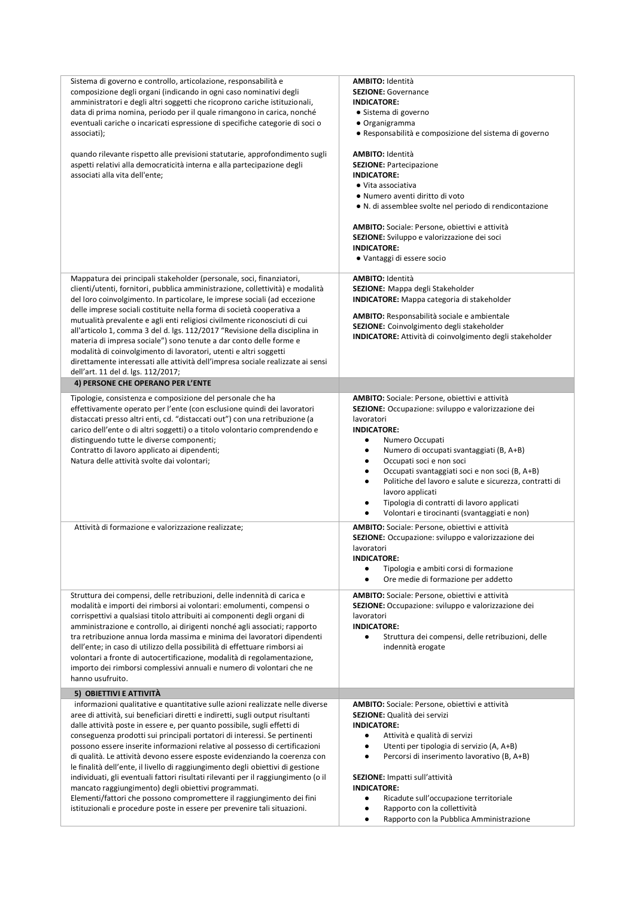| Sistema di governo e controllo, articolazione, responsabilità e<br>composizione degli organi (indicando in ogni caso nominativi degli<br>amministratori e degli altri soggetti che ricoprono cariche istituzionali,<br>data di prima nomina, periodo per il quale rimangono in carica, nonché<br>eventuali cariche o incaricati espressione di specifiche categorie di soci o<br>associati);<br>quando rilevante rispetto alle previsioni statutarie, approfondimento sugli<br>aspetti relativi alla democraticità interna e alla partecipazione degli<br>associati alla vita dell'ente;                                                                                                                                                                                                                                                                                    | <b>AMBITO:</b> Identità<br><b>SEZIONE: Governance</b><br><b>INDICATORE:</b><br>· Sistema di governo<br>• Organigramma<br>• Responsabilità e composizione del sistema di governo<br><b>AMBITO: Identità</b><br><b>SEZIONE: Partecipazione</b><br><b>INDICATORE:</b><br>• Vita associativa<br>· Numero aventi diritto di voto<br>• N. di assemblee svolte nel periodo di rendicontazione<br><b>AMBITO:</b> Sociale: Persone, obiettivi e attività<br>SEZIONE: Sviluppo e valorizzazione dei soci<br><b>INDICATORE:</b><br>• Vantaggi di essere socio |
|-----------------------------------------------------------------------------------------------------------------------------------------------------------------------------------------------------------------------------------------------------------------------------------------------------------------------------------------------------------------------------------------------------------------------------------------------------------------------------------------------------------------------------------------------------------------------------------------------------------------------------------------------------------------------------------------------------------------------------------------------------------------------------------------------------------------------------------------------------------------------------|----------------------------------------------------------------------------------------------------------------------------------------------------------------------------------------------------------------------------------------------------------------------------------------------------------------------------------------------------------------------------------------------------------------------------------------------------------------------------------------------------------------------------------------------------|
| Mappatura dei principali stakeholder (personale, soci, finanziatori,<br>clienti/utenti, fornitori, pubblica amministrazione, collettività) e modalità<br>del loro coinvolgimento. In particolare, le imprese sociali (ad eccezione<br>delle imprese sociali costituite nella forma di società cooperativa a<br>mutualità prevalente e agli enti religiosi civilmente riconosciuti di cui<br>all'articolo 1, comma 3 del d. Igs. 112/2017 "Revisione della disciplina in<br>materia di impresa sociale") sono tenute a dar conto delle forme e<br>modalità di coinvolgimento di lavoratori, utenti e altri soggetti<br>direttamente interessati alle attività dell'impresa sociale realizzate ai sensi<br>dell'art. 11 del d. lgs. 112/2017;                                                                                                                                 | <b>AMBITO:</b> Identità<br>SEZIONE: Mappa degli Stakeholder<br><b>INDICATORE:</b> Mappa categoria di stakeholder<br><b>AMBITO:</b> Responsabilità sociale e ambientale<br>SEZIONE: Coinvolgimento degli stakeholder<br><b>INDICATORE:</b> Attività di coinvolgimento degli stakeholder                                                                                                                                                                                                                                                             |
| 4) PERSONE CHE OPERANO PER L'ENTE                                                                                                                                                                                                                                                                                                                                                                                                                                                                                                                                                                                                                                                                                                                                                                                                                                           |                                                                                                                                                                                                                                                                                                                                                                                                                                                                                                                                                    |
| Tipologie, consistenza e composizione del personale che ha<br>effettivamente operato per l'ente (con esclusione quindi dei lavoratori<br>distaccati presso altri enti, cd. "distaccati out") con una retribuzione (a<br>carico dell'ente o di altri soggetti) o a titolo volontario comprendendo e<br>distinguendo tutte le diverse componenti;<br>Contratto di lavoro applicato ai dipendenti;<br>Natura delle attività svolte dai volontari;                                                                                                                                                                                                                                                                                                                                                                                                                              | AMBITO: Sociale: Persone, obiettivi e attività<br>SEZIONE: Occupazione: sviluppo e valorizzazione dei<br>lavoratori<br><b>INDICATORE:</b><br>Numero Occupati<br>٠<br>Numero di occupati svantaggiati (B, A+B)<br>Occupati soci e non soci<br>٠<br>Occupati svantaggiati soci e non soci (B, A+B)<br>Politiche del lavoro e salute e sicurezza, contratti di<br>lavoro applicati<br>Tipologia di contratti di lavoro applicati<br>٠<br>Volontari e tirocinanti (svantaggiati e non)<br>$\bullet$                                                    |
| Attività di formazione e valorizzazione realizzate;                                                                                                                                                                                                                                                                                                                                                                                                                                                                                                                                                                                                                                                                                                                                                                                                                         | <b>AMBITO:</b> Sociale: Persone, obiettivi e attività<br><b>SEZIONE:</b> Occupazione: sviluppo e valorizzazione dei<br>lavoratori<br><b>INDICATORE:</b><br>Tipologia e ambiti corsi di formazione<br>٠<br>Ore medie di formazione per addetto                                                                                                                                                                                                                                                                                                      |
| Struttura dei compensi, delle retribuzioni, delle indennità di carica e<br>modalità e importi dei rimborsi ai volontari: emolumenti, compensi o<br>corrispettivi a qualsiasi titolo attribuiti ai componenti degli organi di<br>amministrazione e controllo, ai dirigenti nonché agli associati; rapporto<br>tra retribuzione annua lorda massima e minima dei lavoratori dipendenti<br>dell'ente; in caso di utilizzo della possibilità di effettuare rimborsi ai<br>volontari a fronte di autocertificazione, modalità di regolamentazione,<br>importo dei rimborsi complessivi annuali e numero di volontari che ne<br>hanno usufruito.                                                                                                                                                                                                                                  | <b>AMBITO:</b> Sociale: Persone, obiettivi e attività<br>SEZIONE: Occupazione: sviluppo e valorizzazione dei<br>lavoratori<br><b>INDICATORE:</b><br>Struttura dei compensi, delle retribuzioni, delle<br>$\bullet$<br>indennità erogate                                                                                                                                                                                                                                                                                                            |
| 5) OBIETTIVI E ATTIVITÀ                                                                                                                                                                                                                                                                                                                                                                                                                                                                                                                                                                                                                                                                                                                                                                                                                                                     |                                                                                                                                                                                                                                                                                                                                                                                                                                                                                                                                                    |
| informazioni qualitative e quantitative sulle azioni realizzate nelle diverse<br>aree di attività, sui beneficiari diretti e indiretti, sugli output risultanti<br>dalle attività poste in essere e, per quanto possibile, sugli effetti di<br>conseguenza prodotti sui principali portatori di interessi. Se pertinenti<br>possono essere inserite informazioni relative al possesso di certificazioni<br>di qualità. Le attività devono essere esposte evidenziando la coerenza con<br>le finalità dell'ente, il livello di raggiungimento degli obiettivi di gestione<br>individuati, gli eventuali fattori risultati rilevanti per il raggiungimento (o il<br>mancato raggiungimento) degli obiettivi programmati.<br>Elementi/fattori che possono compromettere il raggiungimento dei fini<br>istituzionali e procedure poste in essere per prevenire tali situazioni. | <b>AMBITO:</b> Sociale: Persone, obiettivi e attività<br>SEZIONE: Qualità dei servizi<br><b>INDICATORE:</b><br>Attività e qualità di servizi<br>$\bullet$<br>Utenti per tipologia di servizio (A, A+B)<br>٠<br>Percorsi di inserimento lavorativo (B, A+B)<br>$\bullet$<br>SEZIONE: Impatti sull'attività<br><b>INDICATORE:</b><br>Ricadute sull'occupazione territoriale<br>٠<br>Rapporto con la collettività<br>Rapporto con la Pubblica Amministrazione                                                                                         |